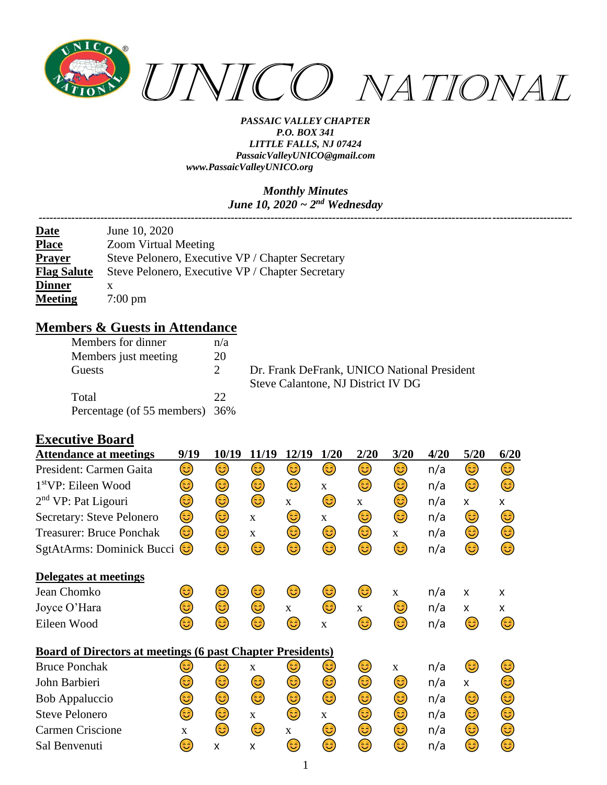

#### *Monthly Minutes June 10, 2020 ~ 2nd Wednesday*

| June 10, 2020                                    |
|--------------------------------------------------|
| <b>Zoom Virtual Meeting</b>                      |
| Steve Pelonero, Executive VP / Chapter Secretary |
| Steve Pelonero, Executive VP / Chapter Secretary |
| x                                                |
| $7:00 \text{ pm}$                                |
|                                                  |

### **Members & Guests in Attendance**

| Members for dinner             | n/a                         |
|--------------------------------|-----------------------------|
| Members just meeting           | 20                          |
| Guests                         | $\mathcal{D}_{\mathcal{L}}$ |
| Total                          | 22                          |
| Percentage (of 55 members) 36% |                             |

Dr. Frank DeFrank, UNICO National President Steve Calantone, NJ District IV DG

#### **Executive Board**

| <b>Attendance at meetings</b>                                     | 9/19 | 10/19 | 11/19       | 12/19        | 1/20         | 2/20         | 3/20         | 4/20 | 5/20 | 6/20 |
|-------------------------------------------------------------------|------|-------|-------------|--------------|--------------|--------------|--------------|------|------|------|
| President: Carmen Gaita                                           | ٢    | ٤     | 3           | 3)           | 3)           | ٤            | ٢            | n/a  | ٤    | ٢    |
| $1stVP$ : Eileen Wood                                             | 3    | ٢     | ٢           | ٢            | X            | 3)           | ٢            | n/a  | ٢    | ٢    |
| 2 <sup>nd</sup> VP: Pat Ligouri                                   | ٢    | ٢     | ٢           | $\mathbf{X}$ | 3)           | $\mathbf{X}$ | ٢            | n/a  | X    | X    |
| Secretary: Steve Pelonero                                         | 3)   | ٢     | X           | 3)           | $\mathbf X$  | 3)           | 3)           | n/a  | 3)   | 3)   |
| <b>Treasurer: Bruce Ponchak</b>                                   | 3)   | ٢     | $\mathbf X$ | ٢            | ٢            | ٢            | $\mathbf X$  | n/a  | ٢    | ٢    |
| SgtAtArms: Dominick Bucci                                         | 3    | 3     | ٢           | 3            | ٢            | ٤            | ٢            | n/a  | ٢    | ٢    |
| Delegates at meetings                                             |      |       |             |              |              |              |              |      |      |      |
| Jean Chomko                                                       | 3    | 3     | 3)          | 3            | 3            | 3)           | $\mathbf{X}$ | n/a  | X    | X    |
| Joyce O'Hara                                                      | 3    | ٢     | ☺           | $\mathbf{X}$ | 3)           | X            | 3)           | n/a  | X    | X    |
| Eileen Wood                                                       | 3    | 3     | ❺           | 3            | $\mathbf X$  | 6            | 3            | n/a  | ٢    | 3    |
| <b>Board of Directors at meetings (6 past Chapter Presidents)</b> |      |       |             |              |              |              |              |      |      |      |
| <b>Bruce Ponchak</b>                                              | 3    | 3)    | $\mathbf X$ | 3)           | 3)           | 3)           | $\mathbf X$  | n/a  | 3)   | 3    |
| John Barbieri                                                     | 3    | 3     | ٢           | ٢            | 3            | ٢            | ٢            | n/a  | X    | 3    |
| <b>Bob Appaluccio</b>                                             | 3    | ٢     | 3           | ٢            | ٢            | 3            | 3            | n/a  | 3    | 3    |
| <b>Steve Pelonero</b>                                             | ٢    | ☺     | $\mathbf X$ | ☺            | $\mathbf{X}$ | 3            | ٢            | n/a  | ☺    | ☺    |
| Carmen Criscione                                                  | X    | 3     | 3)          | $\mathbf{X}$ | 3)           | 3)           | ٢            | n/a  | 3)   | 3)   |
| Sal Benvenuti                                                     | ದಿ   | X     | X           | 3            | 3            | 3            | 3            | n/a  | 6    | 3    |
|                                                                   |      |       |             |              |              |              |              |      |      |      |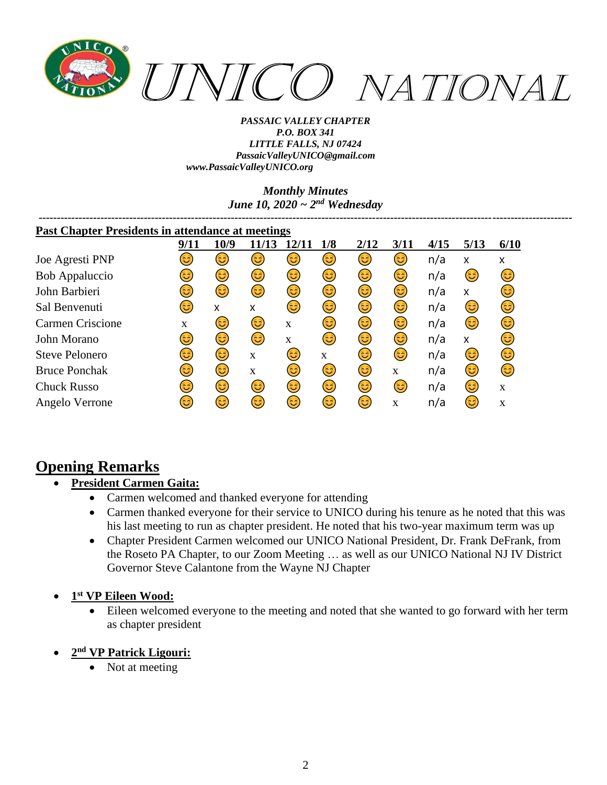

> *Monthly Minutes June 10, 2020 ~ 2nd Wednesday*

> > *---------------------------------------------------------------------------------------------------------------------------------------------------*

| <b>Past Chapter Presidents in attendance at meetings</b> |              |      |              |              |     |      |             |      |      |      |
|----------------------------------------------------------|--------------|------|--------------|--------------|-----|------|-------------|------|------|------|
|                                                          | 9/11         | 10/9 | 11/13        | 12/11        | 1/8 | 2/12 | 3/11        | 4/15 | 5/13 | 6/10 |
| Joe Agresti PNP                                          | فأ           | ಟ    | فأ           | 3            | 3)  | ۲    | 3           | n/a  | x    | X    |
| Bob Appaluccio                                           | ತಿ           | ದಿ   | 3            | 3            | 3   | 3)   | 3           | n/a  | 3    | 3)   |
| John Barbieri                                            | ದಿ           | 3    | 3            | 3            | 3   | 3    | 3           | n/a  | X    | 3)   |
| Sal Benvenuti                                            | ಡಿ           | X    | x            | 3            | 3   | 3    | 3           | n/a  | 3    | 3    |
| <b>Carmen Criscione</b>                                  | $\mathbf{x}$ | 3    | 3            | $\mathbf{X}$ | 63) | 63   | 3           | n/a  | 3    | 3    |
| John Morano                                              | ಟ            | 3    | 3            | X            | 63) | 63   | 3           | n/a  | X    | 3)   |
| <b>Steve Pelonero</b>                                    | ದ            | ದಿ   | $\mathbf x$  | 3            | X   | 3)   | 3           | n/a  | 3    | 3)   |
| <b>Bruce Ponchak</b>                                     | ತಿ           | 3    | $\mathbf{x}$ | 63)          | 3   | 63   | X           | n/a  | (ئ   | 3    |
| <b>Chuck Russo</b>                                       | ಡಿ           | 6    | 3            | 3            | 3   | 63   | ದಿ          | n/a  | 6    | X    |
| Angelo Verrone                                           | ಡಿ           | 63)  | 6            | 6            | 63) | 63   | $\mathbf x$ | n/a  | 63   | X    |

# **Opening Remarks**

- **President Carmen Gaita:**
	- Carmen welcomed and thanked everyone for attending
	- Carmen thanked everyone for their service to UNICO during his tenure as he noted that this was his last meeting to run as chapter president. He noted that his two-year maximum term was up
	- Chapter President Carmen welcomed our UNICO National President, Dr. Frank DeFrank, from the Roseto PA Chapter, to our Zoom Meeting … as well as our UNICO National NJ IV District Governor Steve Calantone from the Wayne NJ Chapter
- **1 st VP Eileen Wood:**
	- Eileen welcomed everyone to the meeting and noted that she wanted to go forward with her term as chapter president
- **2 nd VP Patrick Ligouri:**
	- Not at meeting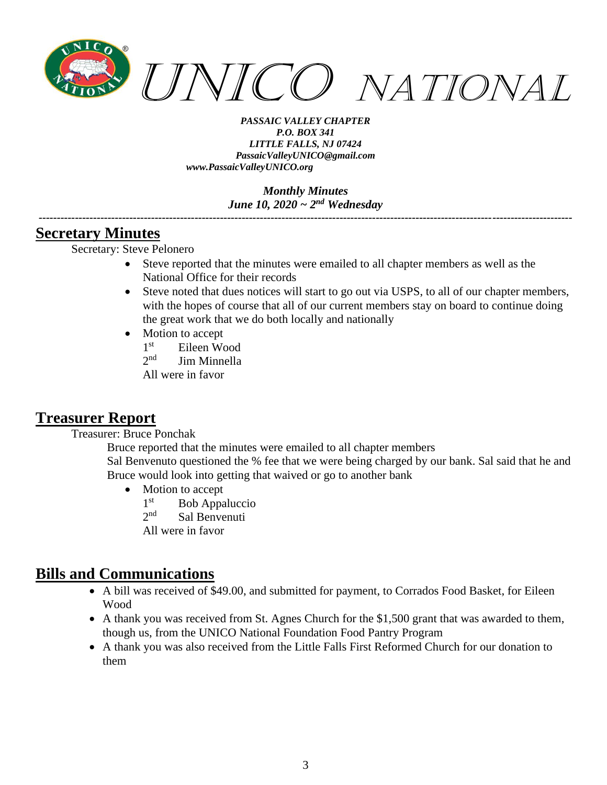

> *Monthly Minutes June 10, 2020 ~ 2nd Wednesday*

*---------------------------------------------------------------------------------------------------------------------------------------------------*

### **Secretary Minutes**

Secretary: Steve Pelonero

- Steve reported that the minutes were emailed to all chapter members as well as the National Office for their records
- Steve noted that dues notices will start to go out via USPS, to all of our chapter members, with the hopes of course that all of our current members stay on board to continue doing the great work that we do both locally and nationally
- Motion to accept
	- $1<sup>st</sup>$ Eileen Wood
	- $2<sub>nd</sub>$ Jim Minnella

All were in favor

### **Treasurer Report**

Treasurer: Bruce Ponchak

Bruce reported that the minutes were emailed to all chapter members

Sal Benvenuto questioned the % fee that we were being charged by our bank. Sal said that he and Bruce would look into getting that waived or go to another bank

- Motion to accept
	- $1<sup>st</sup>$ Bob Appaluccio
	- $2^{nd}$ Sal Benvenuti
	- All were in favor

# **Bills and Communications**

- A bill was received of \$49.00, and submitted for payment, to Corrados Food Basket, for Eileen Wood
- A thank you was received from St. Agnes Church for the \$1,500 grant that was awarded to them, though us, from the UNICO National Foundation Food Pantry Program
- A thank you was also received from the Little Falls First Reformed Church for our donation to them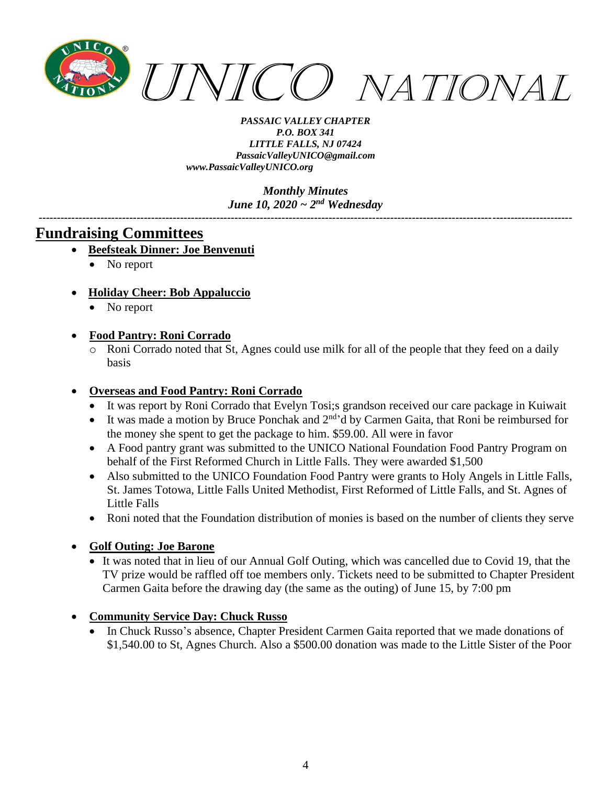

> *Monthly Minutes June 10, 2020 ~ 2nd Wednesday*

*---------------------------------------------------------------------------------------------------------------------------------------------------*

### **Fundraising Committees**

- **Beefsteak Dinner: Joe Benvenuti**
	- No report
- **Holiday Cheer: Bob Appaluccio**
	- No report

#### • **Food Pantry: Roni Corrado**

o Roni Corrado noted that St, Agnes could use milk for all of the people that they feed on a daily basis

#### • **Overseas and Food Pantry: Roni Corrado**

- It was report by Roni Corrado that Evelyn Tosi;s grandson received our care package in Kuiwait
- It was made a motion by Bruce Ponchak and  $2<sup>nd</sup>$ d by Carmen Gaita, that Roni be reimbursed for the money she spent to get the package to him. \$59.00. All were in favor
- A Food pantry grant was submitted to the UNICO National Foundation Food Pantry Program on behalf of the First Reformed Church in Little Falls. They were awarded \$1,500
- Also submitted to the UNICO Foundation Food Pantry were grants to Holy Angels in Little Falls, St. James Totowa, Little Falls United Methodist, First Reformed of Little Falls, and St. Agnes of Little Falls
- Roni noted that the Foundation distribution of monies is based on the number of clients they serve

#### • **Golf Outing: Joe Barone**

- It was noted that in lieu of our Annual Golf Outing, which was cancelled due to Covid 19, that the TV prize would be raffled off toe members only. Tickets need to be submitted to Chapter President Carmen Gaita before the drawing day (the same as the outing) of June 15, by 7:00 pm
- **Community Service Day: Chuck Russo**
	- In Chuck Russo's absence, Chapter President Carmen Gaita reported that we made donations of \$1,540.00 to St, Agnes Church. Also a \$500.00 donation was made to the Little Sister of the Poor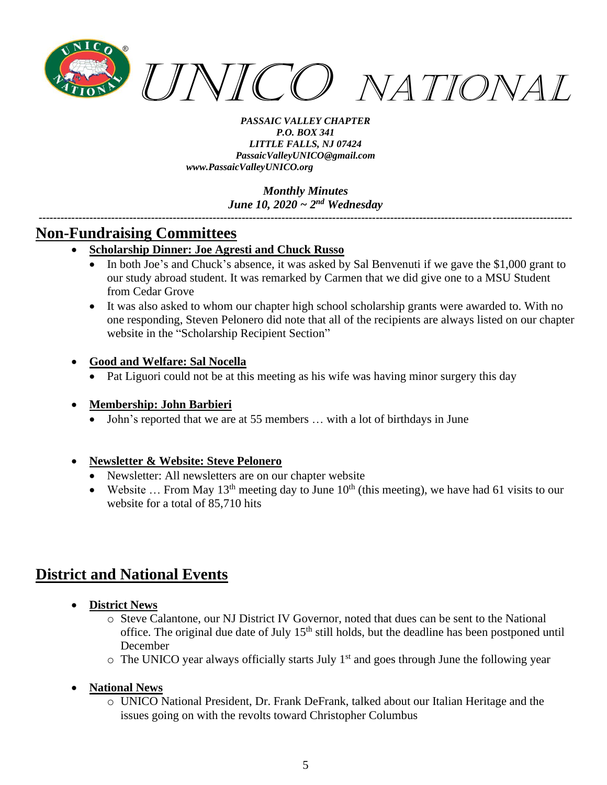

> *Monthly Minutes June 10, 2020 ~ 2nd Wednesday*

*---------------------------------------------------------------------------------------------------------------------------------------------------*

# **Non-Fundraising Committees**

- **Scholarship Dinner: Joe Agresti and Chuck Russo**
	- In both Joe's and Chuck's absence, it was asked by Sal Benvenuti if we gave the \$1,000 grant to our study abroad student. It was remarked by Carmen that we did give one to a MSU Student from Cedar Grove
	- It was also asked to whom our chapter high school scholarship grants were awarded to. With no one responding, Steven Pelonero did note that all of the recipients are always listed on our chapter website in the "Scholarship Recipient Section"
- **Good and Welfare: Sal Nocella**
	- Pat Liguori could not be at this meeting as his wife was having minor surgery this day

#### • **Membership: John Barbieri**

• John's reported that we are at 55 members … with a lot of birthdays in June

#### • **Newsletter & Website: Steve Pelonero**

- Newsletter: All newsletters are on our chapter website
- Website ... From May 13<sup>th</sup> meeting day to June  $10^{th}$  (this meeting), we have had 61 visits to our website for a total of 85,710 hits

# **District and National Events**

- **District News**
	- o Steve Calantone, our NJ District IV Governor, noted that dues can be sent to the National office. The original due date of July 15<sup>th</sup> still holds, but the deadline has been postponed until December
	- $\circ$  The UNICO year always officially starts July 1<sup>st</sup> and goes through June the following year

#### • **National News**

o UNICO National President, Dr. Frank DeFrank, talked about our Italian Heritage and the issues going on with the revolts toward Christopher Columbus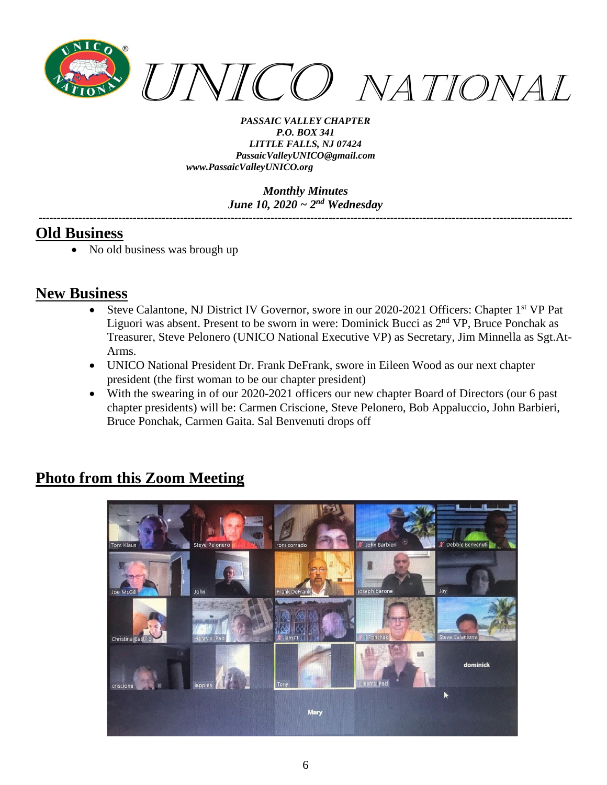

> *Monthly Minutes June 10, 2020 ~ 2nd Wednesday*

*---------------------------------------------------------------------------------------------------------------------------------------------------*

### **Old Business**

• No old business was brough up

# **New Business**

- Steve Calantone, NJ District IV Governor, swore in our 2020-2021 Officers: Chapter 1<sup>st</sup> VP Pat Liguori was absent. Present to be sworn in were: Dominick Bucci as 2nd VP, Bruce Ponchak as Treasurer, Steve Pelonero (UNICO National Executive VP) as Secretary, Jim Minnella as Sgt.At-Arms.
- UNICO National President Dr. Frank DeFrank, swore in Eileen Wood as our next chapter president (the first woman to be our chapter president)
- With the swearing in of our 2020-2021 officers our new chapter Board of Directors (our 6 past) chapter presidents) will be: Carmen Criscione, Steve Pelonero, Bob Appaluccio, John Barbieri, Bruce Ponchak, Carmen Gaita. Sal Benvenuti drops off

# **Photo from this Zoom Meeting**